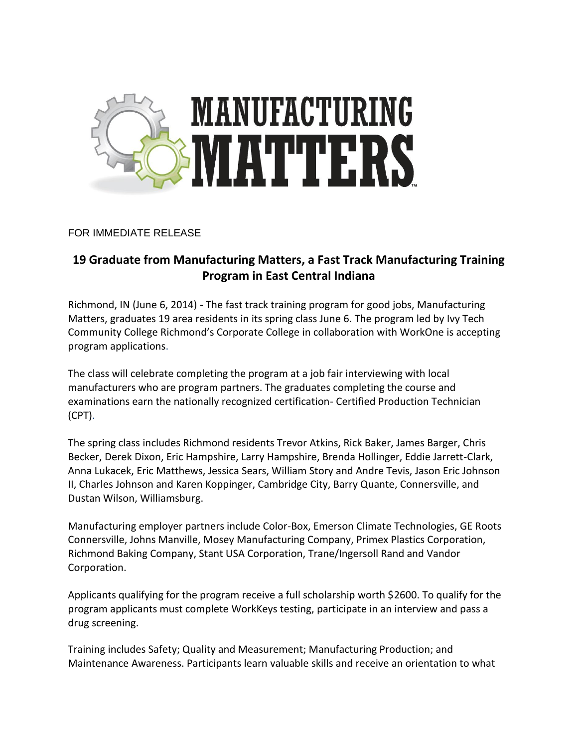

## FOR IMMEDIATE RELEASE

## **19 Graduate from Manufacturing Matters, a Fast Track Manufacturing Training Program in East Central Indiana**

Richmond, IN (June 6, 2014) - The fast track training program for good jobs, Manufacturing Matters, graduates 19 area residents in its spring class June 6. The program led by Ivy Tech Community College Richmond's Corporate College in collaboration with WorkOne is accepting program applications.

The class will celebrate completing the program at a job fair interviewing with local manufacturers who are program partners. The graduates completing the course and examinations earn the nationally recognized certification- Certified Production Technician (CPT).

The spring class includes Richmond residents Trevor Atkins, Rick Baker, James Barger, Chris Becker, Derek Dixon, Eric Hampshire, Larry Hampshire, Brenda Hollinger, Eddie Jarrett-Clark, Anna Lukacek, Eric Matthews, Jessica Sears, William Story and Andre Tevis, Jason Eric Johnson II, Charles Johnson and Karen Koppinger, Cambridge City, Barry Quante, Connersville, and Dustan Wilson, Williamsburg.

Manufacturing employer partners include Color-Box, Emerson Climate Technologies, GE Roots Connersville, Johns Manville, Mosey Manufacturing Company, Primex Plastics Corporation, Richmond Baking Company, Stant USA Corporation, Trane/Ingersoll Rand and Vandor Corporation.

Applicants qualifying for the program receive a full scholarship worth \$2600. To qualify for the program applicants must complete WorkKeys testing, participate in an interview and pass a drug screening.

Training includes Safety; Quality and Measurement; Manufacturing Production; and Maintenance Awareness. Participants learn valuable skills and receive an orientation to what